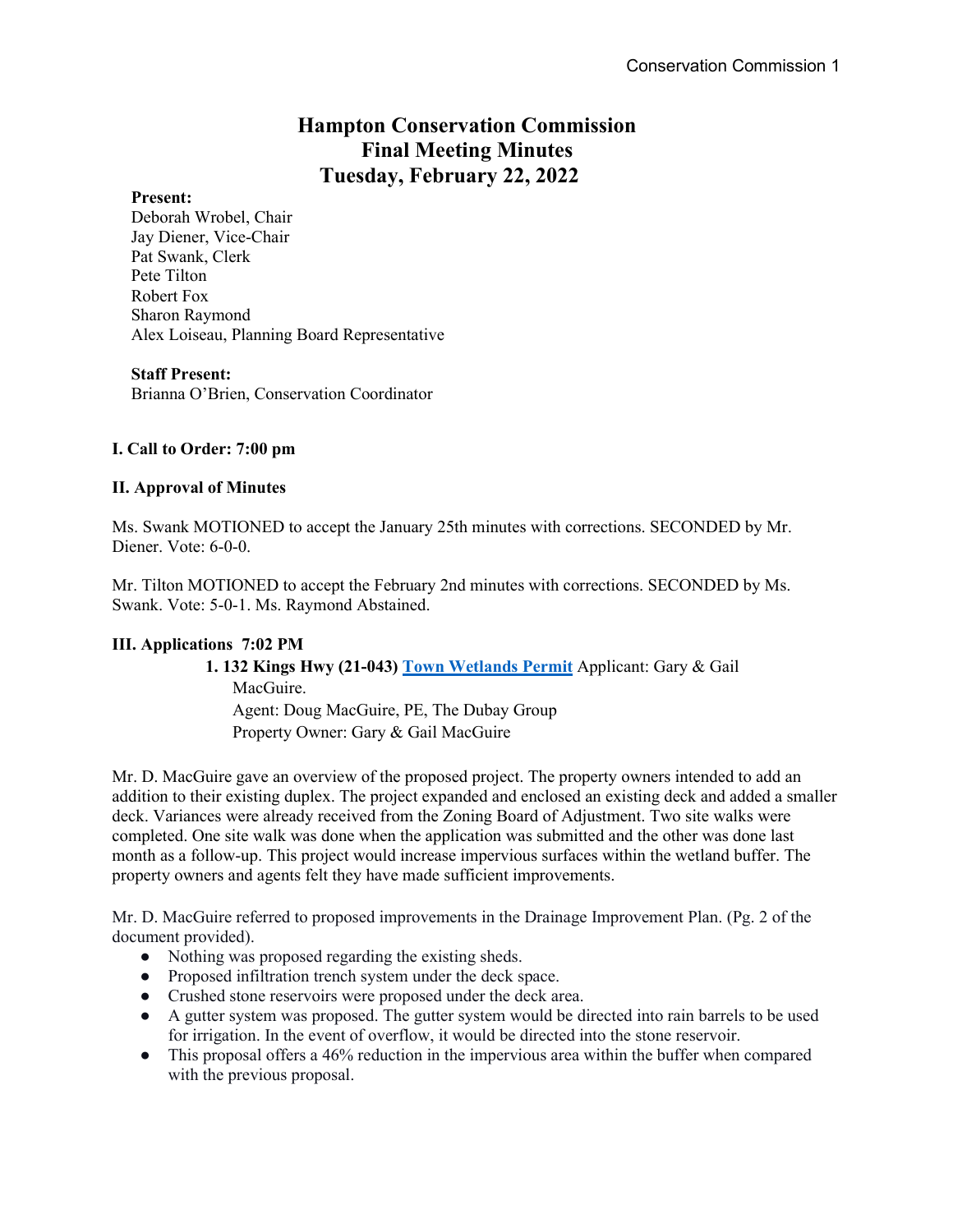## **Hampton Conservation Commission Final Meeting Minutes Tuesday, February 22, 2022**

#### **Present:**

Deborah Wrobel, Chair Jay Diener, Vice-Chair Pat Swank, Clerk Pete Tilton Robert Fox Sharon Raymond Alex Loiseau, Planning Board Representative

#### **Staff Present:**

Brianna O'Brien, Conservation Coordinator

## **I. Call to Order: 7:00 pm**

#### **II. Approval of Minutes**

Ms. Swank MOTIONED to accept the January 25th minutes with corrections. SECONDED by Mr. Diener. Vote: 6-0-0.

Mr. Tilton MOTIONED to accept the February 2nd minutes with corrections. SECONDED by Ms. Swank. Vote: 5-0-1. Ms. Raymond Abstained.

## **III. Applications 7:02 PM**

# **1. 132 Kings Hwy (21-043) Town Wetlands Permit** Applicant: Gary & Gail

MacGuire. Agent: Doug MacGuire, PE, The Dubay Group Property Owner: Gary & Gail MacGuire

Mr. D. MacGuire gave an overview of the proposed project. The property owners intended to add an addition to their existing duplex. The project expanded and enclosed an existing deck and added a smaller deck. Variances were already received from the Zoning Board of Adjustment. Two site walks were completed. One site walk was done when the application was submitted and the other was done last month as a follow-up. This project would increase impervious surfaces within the wetland buffer. The property owners and agents felt they have made sufficient improvements.

Mr. D. MacGuire referred to proposed improvements in the Drainage Improvement Plan. (Pg. 2 of the document provided).

- Nothing was proposed regarding the existing sheds.
- Proposed infiltration trench system under the deck space.
- Crushed stone reservoirs were proposed under the deck area.
- A gutter system was proposed. The gutter system would be directed into rain barrels to be used for irrigation. In the event of overflow, it would be directed into the stone reservoir.
- This proposal offers a 46% reduction in the impervious area within the buffer when compared with the previous proposal.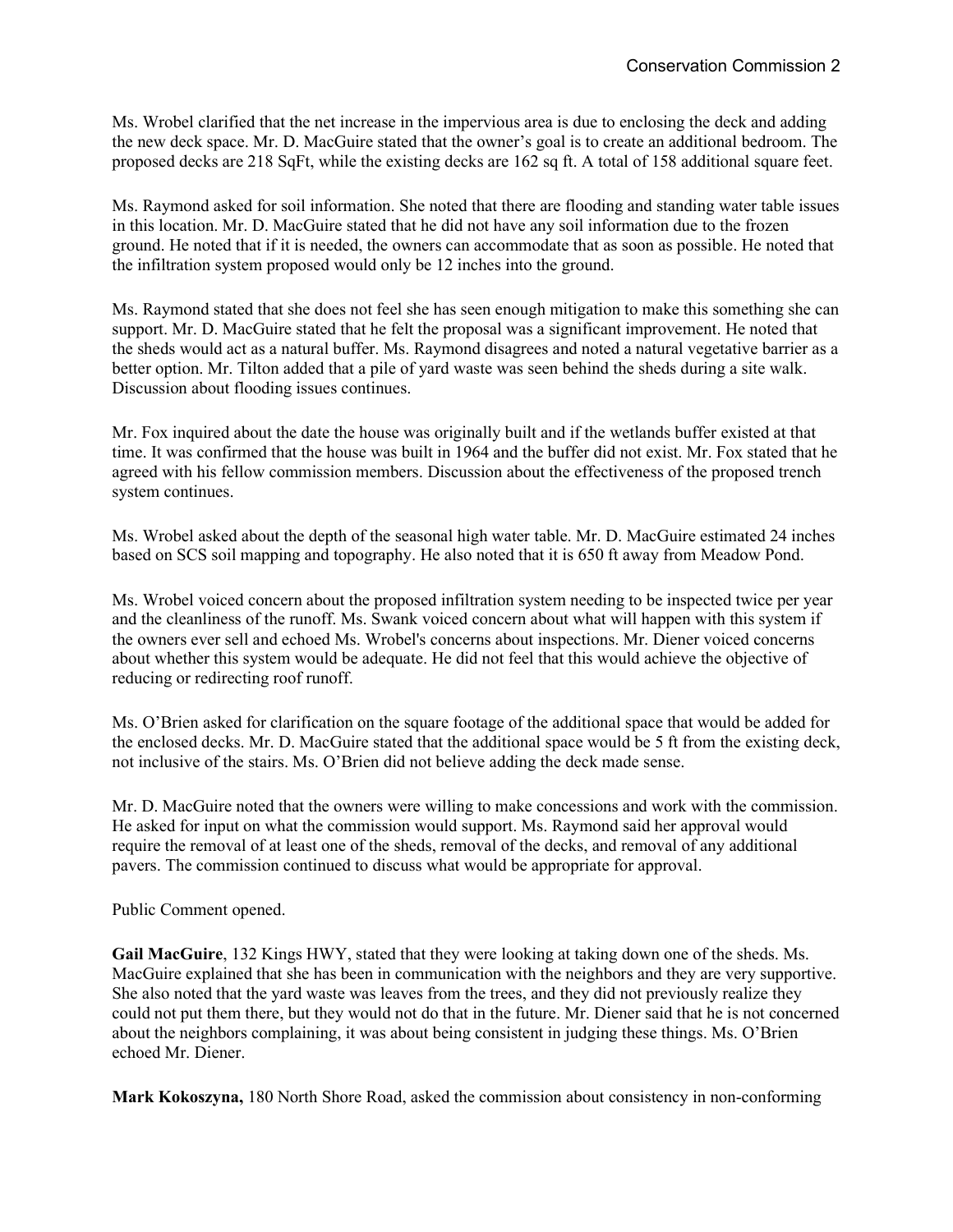Ms. Wrobel clarified that the net increase in the impervious area is due to enclosing the deck and adding the new deck space. Mr. D. MacGuire stated that the owner's goal is to create an additional bedroom. The proposed decks are 218 SqFt, while the existing decks are 162 sq ft. A total of 158 additional square feet.

Ms. Raymond asked for soil information. She noted that there are flooding and standing water table issues in this location. Mr. D. MacGuire stated that he did not have any soil information due to the frozen ground. He noted that if it is needed, the owners can accommodate that as soon as possible. He noted that the infiltration system proposed would only be 12 inches into the ground.

Ms. Raymond stated that she does not feel she has seen enough mitigation to make this something she can support. Mr. D. MacGuire stated that he felt the proposal was a significant improvement. He noted that the sheds would act as a natural buffer. Ms. Raymond disagrees and noted a natural vegetative barrier as a better option. Mr. Tilton added that a pile of yard waste was seen behind the sheds during a site walk. Discussion about flooding issues continues.

Mr. Fox inquired about the date the house was originally built and if the wetlands buffer existed at that time. It was confirmed that the house was built in 1964 and the buffer did not exist. Mr. Fox stated that he agreed with his fellow commission members. Discussion about the effectiveness of the proposed trench system continues.

Ms. Wrobel asked about the depth of the seasonal high water table. Mr. D. MacGuire estimated 24 inches based on SCS soil mapping and topography. He also noted that it is 650 ft away from Meadow Pond.

Ms. Wrobel voiced concern about the proposed infiltration system needing to be inspected twice per year and the cleanliness of the runoff. Ms. Swank voiced concern about what will happen with this system if the owners ever sell and echoed Ms. Wrobel's concerns about inspections. Mr. Diener voiced concerns about whether this system would be adequate. He did not feel that this would achieve the objective of reducing or redirecting roof runoff.

Ms. O'Brien asked for clarification on the square footage of the additional space that would be added for the enclosed decks. Mr. D. MacGuire stated that the additional space would be 5 ft from the existing deck, not inclusive of the stairs. Ms. O'Brien did not believe adding the deck made sense.

Mr. D. MacGuire noted that the owners were willing to make concessions and work with the commission. He asked for input on what the commission would support. Ms. Raymond said her approval would require the removal of at least one of the sheds, removal of the decks, and removal of any additional pavers. The commission continued to discuss what would be appropriate for approval.

Public Comment opened.

**Gail MacGuire**, 132 Kings HWY, stated that they were looking at taking down one of the sheds. Ms. MacGuire explained that she has been in communication with the neighbors and they are very supportive. She also noted that the yard waste was leaves from the trees, and they did not previously realize they could not put them there, but they would not do that in the future. Mr. Diener said that he is not concerned about the neighbors complaining, it was about being consistent in judging these things. Ms. O'Brien echoed Mr. Diener.

**Mark Kokoszyna,** 180 North Shore Road, asked the commission about consistency in non-conforming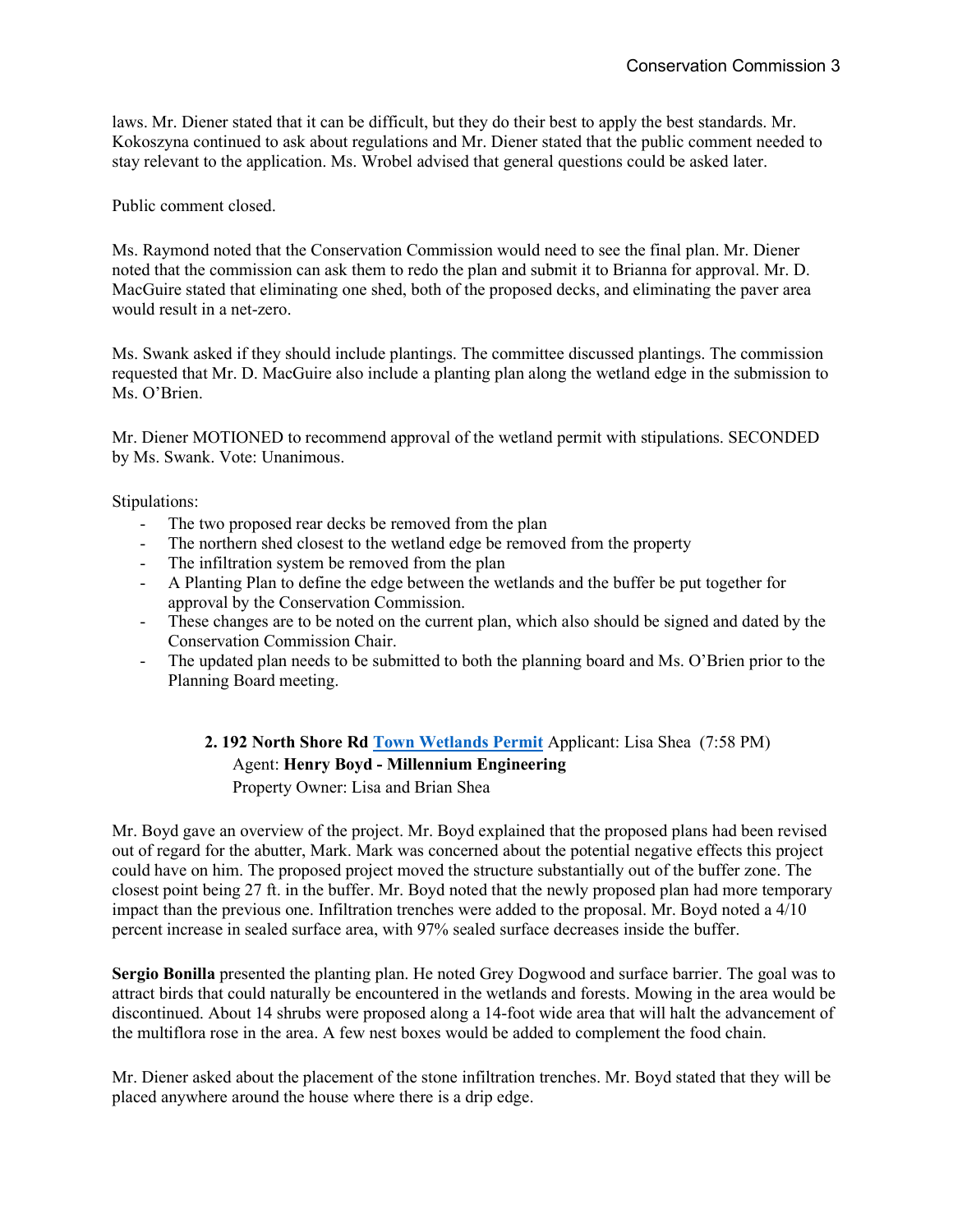laws. Mr. Diener stated that it can be difficult, but they do their best to apply the best standards. Mr. Kokoszyna continued to ask about regulations and Mr. Diener stated that the public comment needed to stay relevant to the application. Ms. Wrobel advised that general questions could be asked later.

Public comment closed.

Ms. Raymond noted that the Conservation Commission would need to see the final plan. Mr. Diener noted that the commission can ask them to redo the plan and submit it to Brianna for approval. Mr. D. MacGuire stated that eliminating one shed, both of the proposed decks, and eliminating the paver area would result in a net-zero.

Ms. Swank asked if they should include plantings. The committee discussed plantings. The commission requested that Mr. D. MacGuire also include a planting plan along the wetland edge in the submission to Ms. O'Brien.

Mr. Diener MOTIONED to recommend approval of the wetland permit with stipulations. SECONDED by Ms. Swank. Vote: Unanimous.

Stipulations:

- The two proposed rear decks be removed from the plan
- The northern shed closest to the wetland edge be removed from the property
- The infiltration system be removed from the plan
- A Planting Plan to define the edge between the wetlands and the buffer be put together for approval by the Conservation Commission.
- These changes are to be noted on the current plan, which also should be signed and dated by the Conservation Commission Chair.
- The updated plan needs to be submitted to both the planning board and Ms. O'Brien prior to the Planning Board meeting.

**2. 192 North Shore Rd Town Wetlands Permit** Applicant: Lisa Shea (7:58 PM) Agent: **Henry Boyd - Millennium Engineering** Property Owner: Lisa and Brian Shea

Mr. Boyd gave an overview of the project. Mr. Boyd explained that the proposed plans had been revised out of regard for the abutter, Mark. Mark was concerned about the potential negative effects this project could have on him. The proposed project moved the structure substantially out of the buffer zone. The closest point being 27 ft. in the buffer. Mr. Boyd noted that the newly proposed plan had more temporary impact than the previous one. Infiltration trenches were added to the proposal. Mr. Boyd noted a 4/10 percent increase in sealed surface area, with 97% sealed surface decreases inside the buffer.

**Sergio Bonilla** presented the planting plan. He noted Grey Dogwood and surface barrier. The goal was to attract birds that could naturally be encountered in the wetlands and forests. Mowing in the area would be discontinued. About 14 shrubs were proposed along a 14-foot wide area that will halt the advancement of the multiflora rose in the area. A few nest boxes would be added to complement the food chain.

Mr. Diener asked about the placement of the stone infiltration trenches. Mr. Boyd stated that they will be placed anywhere around the house where there is a drip edge.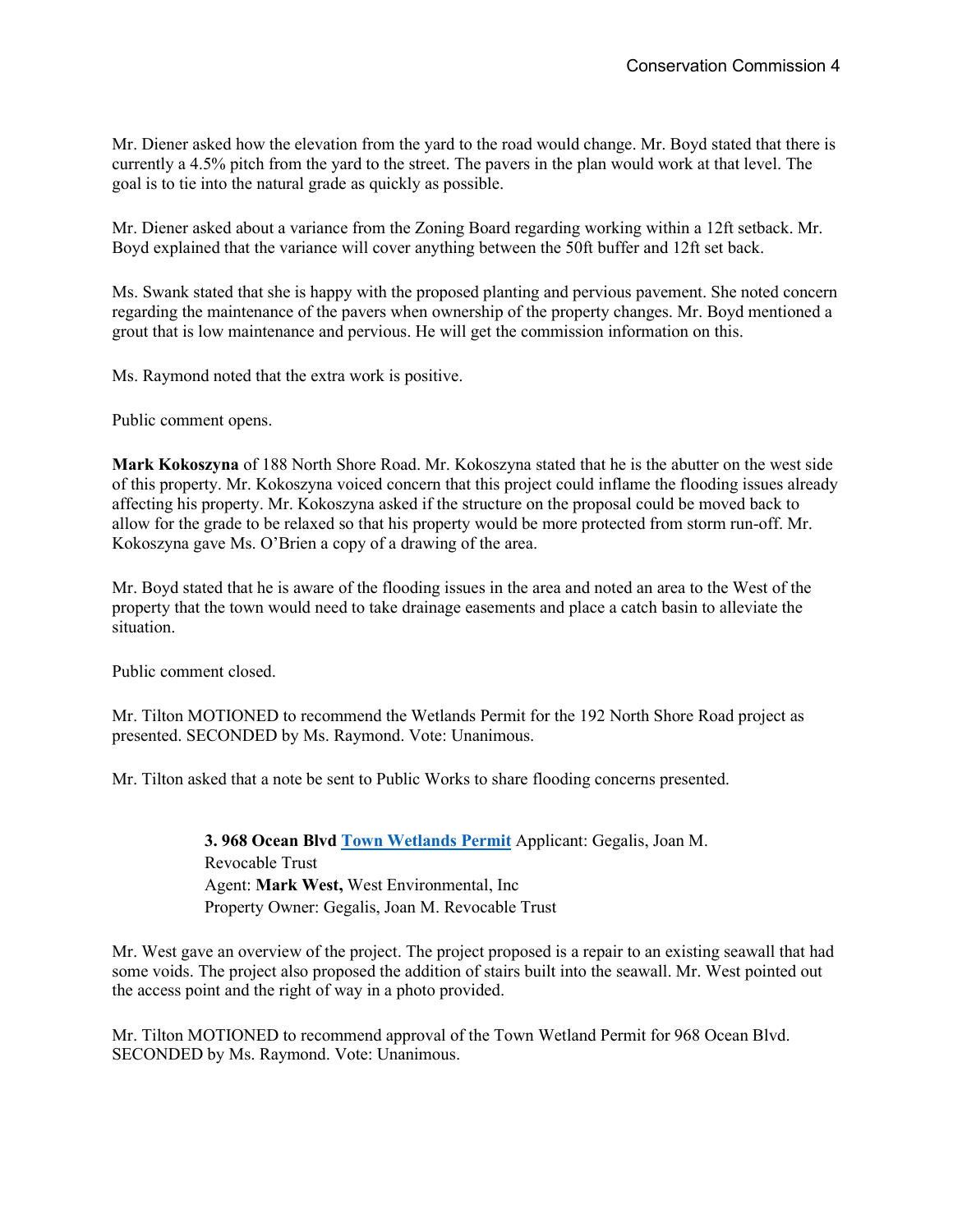Mr. Diener asked how the elevation from the yard to the road would change. Mr. Boyd stated that there is currently a 4.5% pitch from the yard to the street. The pavers in the plan would work at that level. The goal is to tie into the natural grade as quickly as possible.

Mr. Diener asked about a variance from the Zoning Board regarding working within a 12ft setback. Mr. Boyd explained that the variance will cover anything between the 50ft buffer and 12ft set back.

Ms. Swank stated that she is happy with the proposed planting and pervious pavement. She noted concern regarding the maintenance of the pavers when ownership of the property changes. Mr. Boyd mentioned a grout that is low maintenance and pervious. He will get the commission information on this.

Ms. Raymond noted that the extra work is positive.

Public comment opens.

**Mark Kokoszyna** of 188 North Shore Road. Mr. Kokoszyna stated that he is the abutter on the west side of this property. Mr. Kokoszyna voiced concern that this project could inflame the flooding issues already affecting his property. Mr. Kokoszyna asked if the structure on the proposal could be moved back to allow for the grade to be relaxed so that his property would be more protected from storm run-off. Mr. Kokoszyna gave Ms. O'Brien a copy of a drawing of the area.

Mr. Boyd stated that he is aware of the flooding issues in the area and noted an area to the West of the property that the town would need to take drainage easements and place a catch basin to alleviate the situation.

Public comment closed.

Mr. Tilton MOTIONED to recommend the Wetlands Permit for the 192 North Shore Road project as presented. SECONDED by Ms. Raymond. Vote: Unanimous.

Mr. Tilton asked that a note be sent to Public Works to share flooding concerns presented.

**3. 968 Ocean Blvd Town Wetlands Permit** Applicant: Gegalis, Joan M. Revocable Trust Agent: **Mark West,** West Environmental, Inc Property Owner: Gegalis, Joan M. Revocable Trust

Mr. West gave an overview of the project. The project proposed is a repair to an existing seawall that had some voids. The project also proposed the addition of stairs built into the seawall. Mr. West pointed out the access point and the right of way in a photo provided.

Mr. Tilton MOTIONED to recommend approval of the Town Wetland Permit for 968 Ocean Blvd. SECONDED by Ms. Raymond. Vote: Unanimous.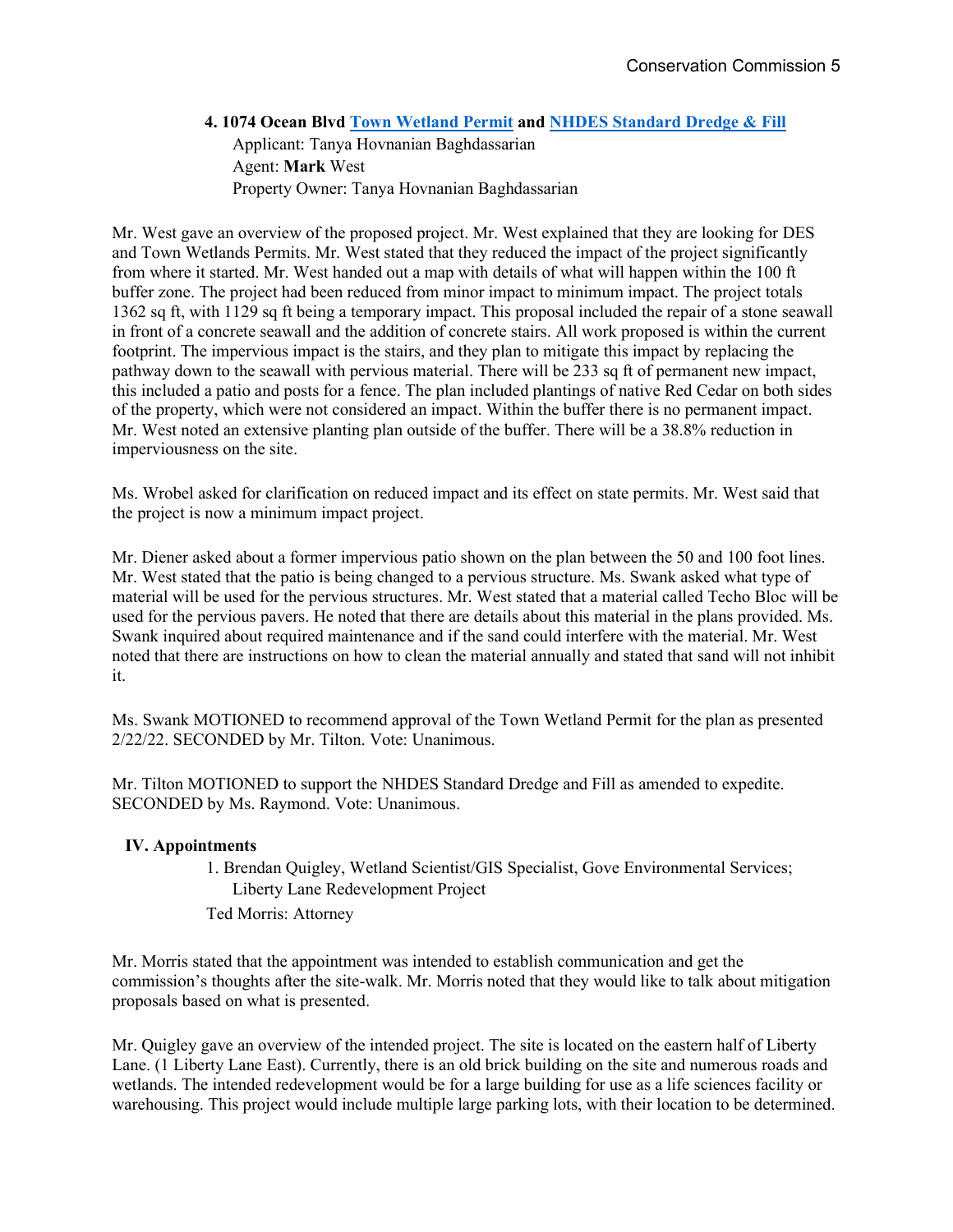## **4. 1074 Ocean Blvd Town Wetland Permit and NHDES Standard Dredge & Fill**  Applicant: Tanya Hovnanian Baghdassarian Agent: **Mark** West Property Owner: Tanya Hovnanian Baghdassarian

Mr. West gave an overview of the proposed project. Mr. West explained that they are looking for DES and Town Wetlands Permits. Mr. West stated that they reduced the impact of the project significantly from where it started. Mr. West handed out a map with details of what will happen within the 100 ft buffer zone. The project had been reduced from minor impact to minimum impact. The project totals 1362 sq ft, with 1129 sq ft being a temporary impact. This proposal included the repair of a stone seawall in front of a concrete seawall and the addition of concrete stairs. All work proposed is within the current footprint. The impervious impact is the stairs, and they plan to mitigate this impact by replacing the pathway down to the seawall with pervious material. There will be 233 sq ft of permanent new impact, this included a patio and posts for a fence. The plan included plantings of native Red Cedar on both sides of the property, which were not considered an impact. Within the buffer there is no permanent impact. Mr. West noted an extensive planting plan outside of the buffer. There will be a 38.8% reduction in imperviousness on the site.

Ms. Wrobel asked for clarification on reduced impact and its effect on state permits. Mr. West said that the project is now a minimum impact project.

Mr. Diener asked about a former impervious patio shown on the plan between the 50 and 100 foot lines. Mr. West stated that the patio is being changed to a pervious structure. Ms. Swank asked what type of material will be used for the pervious structures. Mr. West stated that a material called Techo Bloc will be used for the pervious pavers. He noted that there are details about this material in the plans provided. Ms. Swank inquired about required maintenance and if the sand could interfere with the material. Mr. West noted that there are instructions on how to clean the material annually and stated that sand will not inhibit it.

Ms. Swank MOTIONED to recommend approval of the Town Wetland Permit for the plan as presented 2/22/22. SECONDED by Mr. Tilton. Vote: Unanimous.

Mr. Tilton MOTIONED to support the NHDES Standard Dredge and Fill as amended to expedite. SECONDED by Ms. Raymond. Vote: Unanimous.

## **IV. Appointments**

1. Brendan Quigley, Wetland Scientist/GIS Specialist, Gove Environmental Services; Liberty Lane Redevelopment Project

Ted Morris: Attorney

Mr. Morris stated that the appointment was intended to establish communication and get the commission's thoughts after the site-walk. Mr. Morris noted that they would like to talk about mitigation proposals based on what is presented.

Mr. Quigley gave an overview of the intended project. The site is located on the eastern half of Liberty Lane. (1 Liberty Lane East). Currently, there is an old brick building on the site and numerous roads and wetlands. The intended redevelopment would be for a large building for use as a life sciences facility or warehousing. This project would include multiple large parking lots, with their location to be determined.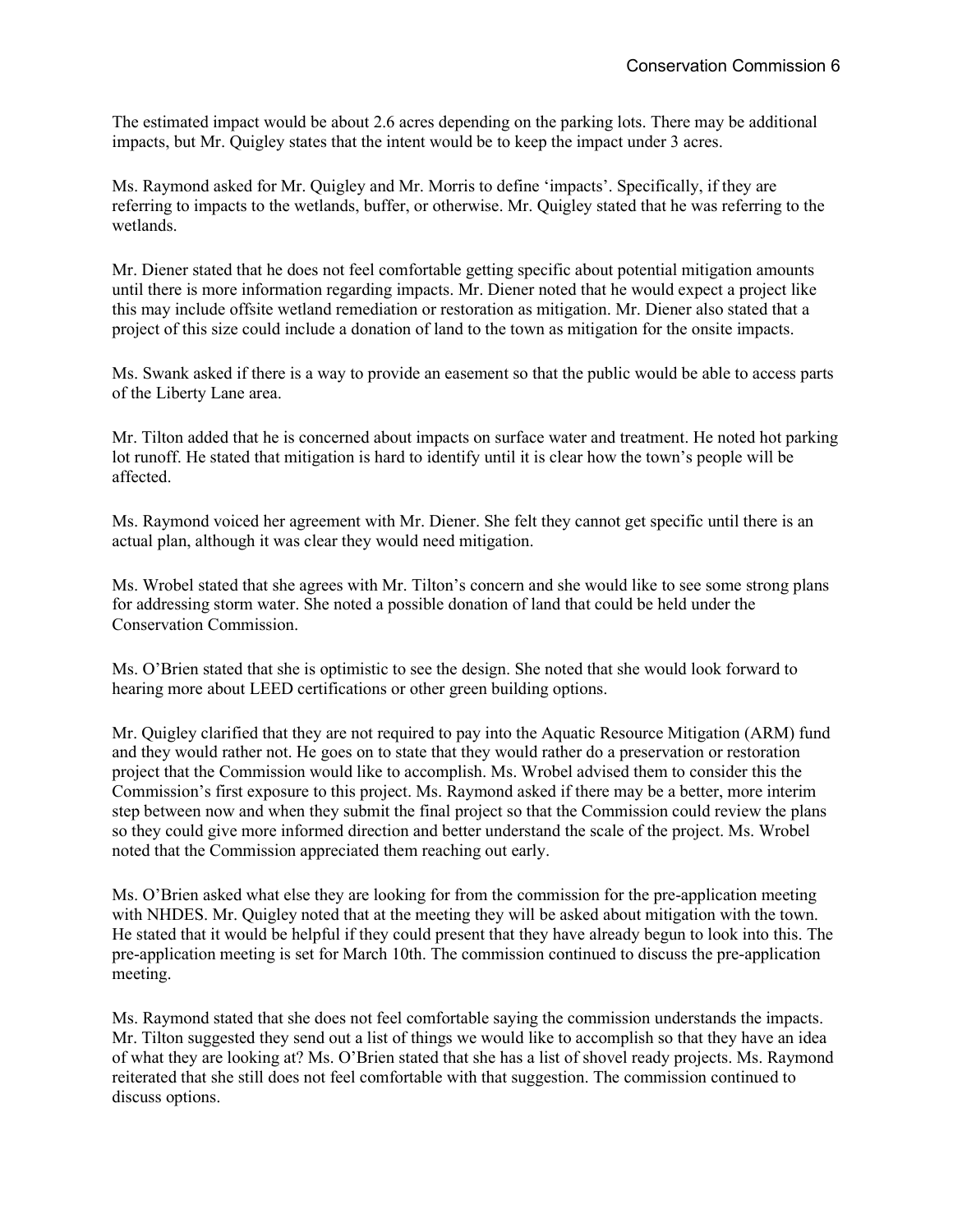The estimated impact would be about 2.6 acres depending on the parking lots. There may be additional impacts, but Mr. Quigley states that the intent would be to keep the impact under 3 acres.

Ms. Raymond asked for Mr. Quigley and Mr. Morris to define 'impacts'. Specifically, if they are referring to impacts to the wetlands, buffer, or otherwise. Mr. Quigley stated that he was referring to the wetlands.

Mr. Diener stated that he does not feel comfortable getting specific about potential mitigation amounts until there is more information regarding impacts. Mr. Diener noted that he would expect a project like this may include offsite wetland remediation or restoration as mitigation. Mr. Diener also stated that a project of this size could include a donation of land to the town as mitigation for the onsite impacts.

Ms. Swank asked if there is a way to provide an easement so that the public would be able to access parts of the Liberty Lane area.

Mr. Tilton added that he is concerned about impacts on surface water and treatment. He noted hot parking lot runoff. He stated that mitigation is hard to identify until it is clear how the town's people will be affected.

Ms. Raymond voiced her agreement with Mr. Diener. She felt they cannot get specific until there is an actual plan, although it was clear they would need mitigation.

Ms. Wrobel stated that she agrees with Mr. Tilton's concern and she would like to see some strong plans for addressing storm water. She noted a possible donation of land that could be held under the Conservation Commission.

Ms. O'Brien stated that she is optimistic to see the design. She noted that she would look forward to hearing more about LEED certifications or other green building options.

Mr. Quigley clarified that they are not required to pay into the Aquatic Resource Mitigation (ARM) fund and they would rather not. He goes on to state that they would rather do a preservation or restoration project that the Commission would like to accomplish. Ms. Wrobel advised them to consider this the Commission's first exposure to this project. Ms. Raymond asked if there may be a better, more interim step between now and when they submit the final project so that the Commission could review the plans so they could give more informed direction and better understand the scale of the project. Ms. Wrobel noted that the Commission appreciated them reaching out early.

Ms. O'Brien asked what else they are looking for from the commission for the pre-application meeting with NHDES. Mr. Quigley noted that at the meeting they will be asked about mitigation with the town. He stated that it would be helpful if they could present that they have already begun to look into this. The pre-application meeting is set for March 10th. The commission continued to discuss the pre-application meeting.

Ms. Raymond stated that she does not feel comfortable saying the commission understands the impacts. Mr. Tilton suggested they send out a list of things we would like to accomplish so that they have an idea of what they are looking at? Ms. O'Brien stated that she has a list of shovel ready projects. Ms. Raymond reiterated that she still does not feel comfortable with that suggestion. The commission continued to discuss options.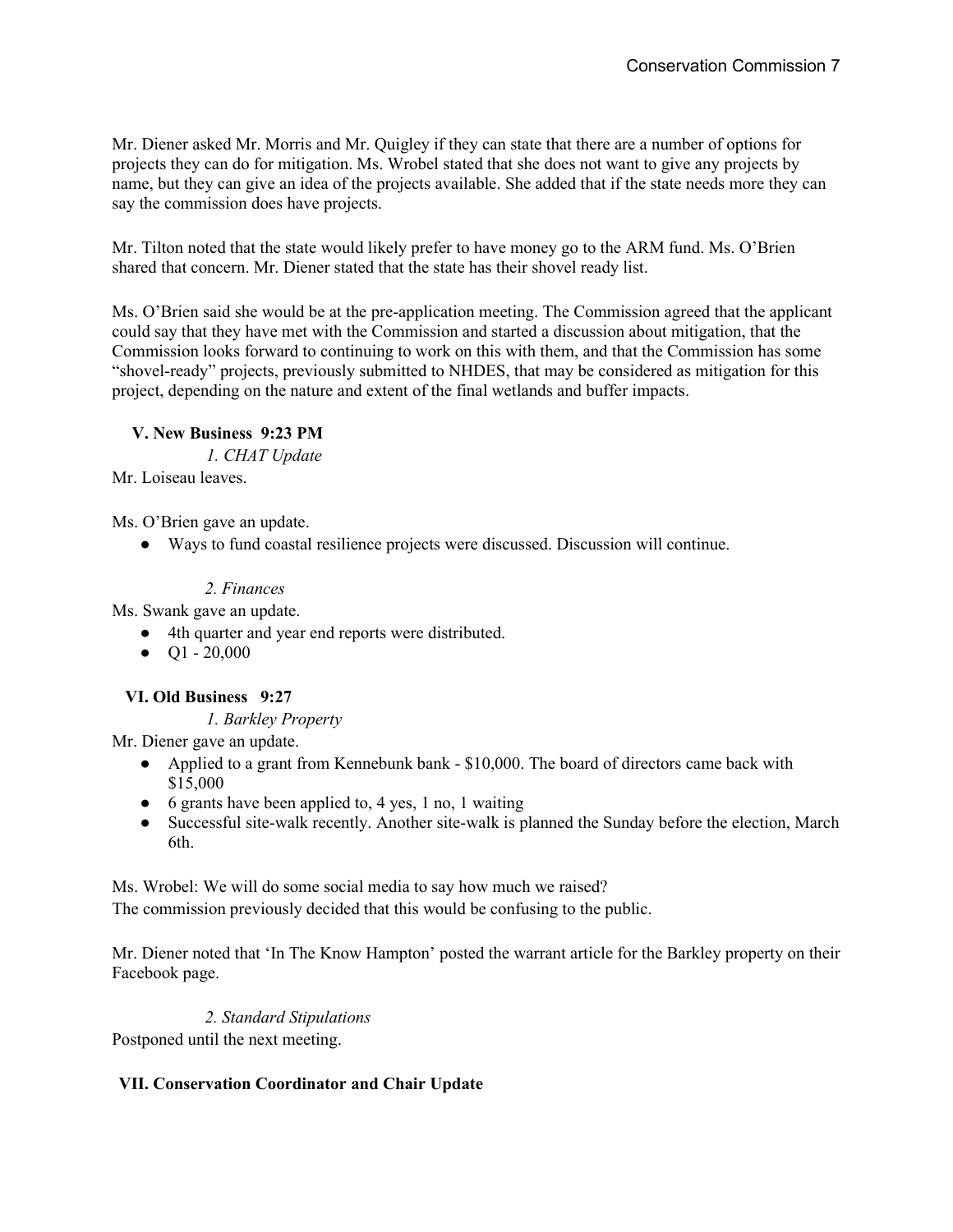Mr. Diener asked Mr. Morris and Mr. Quigley if they can state that there are a number of options for projects they can do for mitigation. Ms. Wrobel stated that she does not want to give any projects by name, but they can give an idea of the projects available. She added that if the state needs more they can say the commission does have projects.

Mr. Tilton noted that the state would likely prefer to have money go to the ARM fund. Ms. O'Brien shared that concern. Mr. Diener stated that the state has their shovel ready list.

Ms. O'Brien said she would be at the pre-application meeting. The Commission agreed that the applicant could say that they have met with the Commission and started a discussion about mitigation, that the Commission looks forward to continuing to work on this with them, and that the Commission has some "shovel-ready" projects, previously submitted to NHDES, that may be considered as mitigation for this project, depending on the nature and extent of the final wetlands and buffer impacts.

#### **V. New Business 9:23 PM**

*1. CHAT Update* 

Mr. Loiseau leaves.

Ms. O'Brien gave an update.

● Ways to fund coastal resilience projects were discussed. Discussion will continue.

## *2. Finances*

Ms. Swank gave an update.

- 4th quarter and year end reports were distributed.
- $\bullet$  Q1 20,000

## **VI. Old Business 9:27**

*1. Barkley Property* 

Mr. Diener gave an update.

- Applied to a grant from Kennebunk bank \$10,000. The board of directors came back with \$15,000
- 6 grants have been applied to, 4 yes, 1 no, 1 waiting
- Successful site-walk recently. Another site-walk is planned the Sunday before the election, March 6th.

Ms. Wrobel: We will do some social media to say how much we raised?

The commission previously decided that this would be confusing to the public.

Mr. Diener noted that 'In The Know Hampton' posted the warrant article for the Barkley property on their Facebook page.

#### *2. Standard Stipulations*

Postponed until the next meeting.

## **VII. Conservation Coordinator and Chair Update**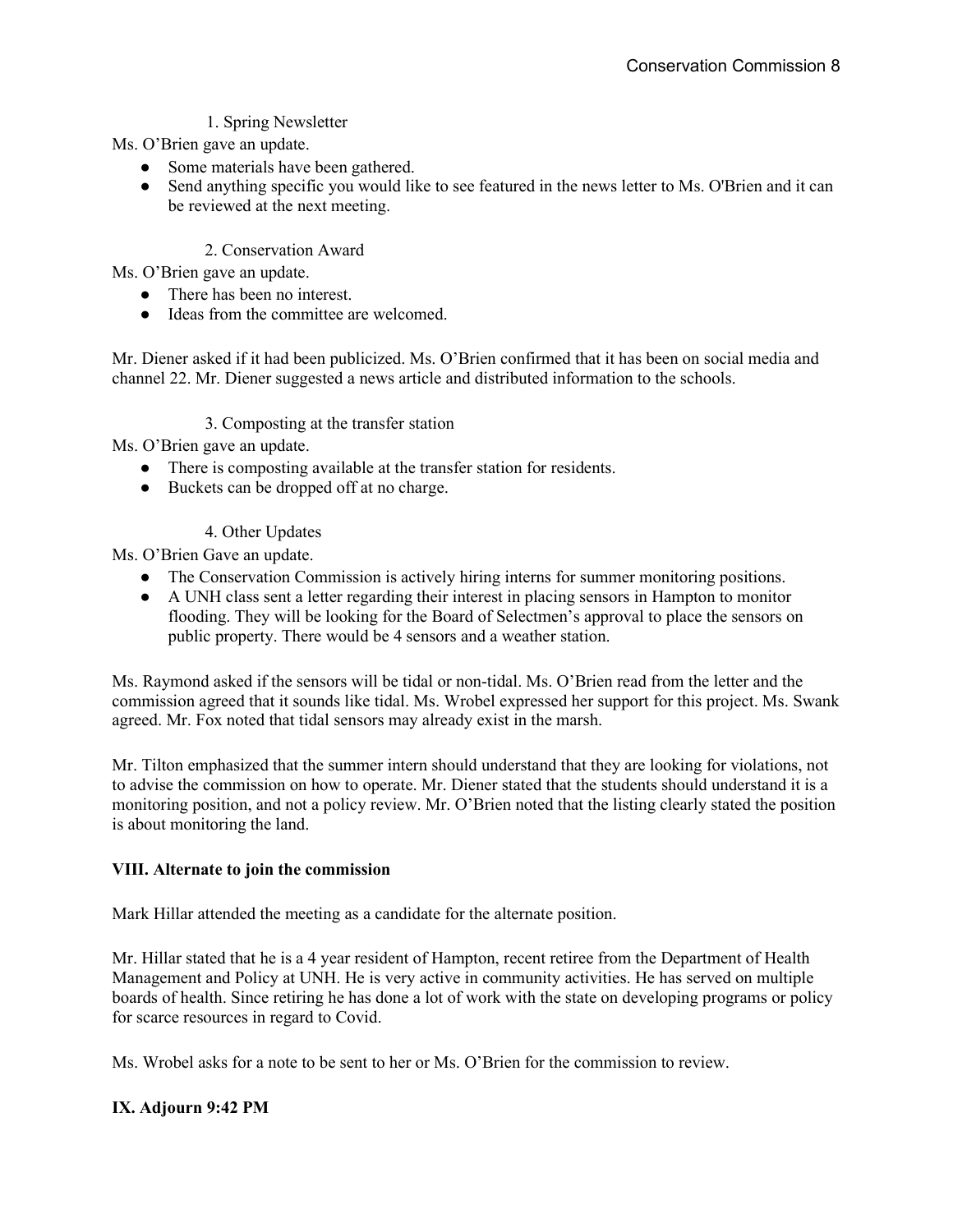## 1. Spring Newsletter

Ms. O'Brien gave an update.

- Some materials have been gathered.
- Send anything specific you would like to see featured in the news letter to Ms. O'Brien and it can be reviewed at the next meeting.

#### 2. Conservation Award

Ms. O'Brien gave an update.

- There has been no interest.
- Ideas from the committee are welcomed.

Mr. Diener asked if it had been publicized. Ms. O'Brien confirmed that it has been on social media and channel 22. Mr. Diener suggested a news article and distributed information to the schools.

#### 3. Composting at the transfer station

Ms. O'Brien gave an update.

- There is composting available at the transfer station for residents.
- Buckets can be dropped off at no charge.
	- 4. Other Updates

Ms. O'Brien Gave an update.

- The Conservation Commission is actively hiring interns for summer monitoring positions.
- A UNH class sent a letter regarding their interest in placing sensors in Hampton to monitor flooding. They will be looking for the Board of Selectmen's approval to place the sensors on public property. There would be 4 sensors and a weather station.

Ms. Raymond asked if the sensors will be tidal or non-tidal. Ms. O'Brien read from the letter and the commission agreed that it sounds like tidal. Ms. Wrobel expressed her support for this project. Ms. Swank agreed. Mr. Fox noted that tidal sensors may already exist in the marsh.

Mr. Tilton emphasized that the summer intern should understand that they are looking for violations, not to advise the commission on how to operate. Mr. Diener stated that the students should understand it is a monitoring position, and not a policy review. Mr. O'Brien noted that the listing clearly stated the position is about monitoring the land.

#### **VIII. Alternate to join the commission**

Mark Hillar attended the meeting as a candidate for the alternate position.

Mr. Hillar stated that he is a 4 year resident of Hampton, recent retiree from the Department of Health Management and Policy at UNH. He is very active in community activities. He has served on multiple boards of health. Since retiring he has done a lot of work with the state on developing programs or policy for scarce resources in regard to Covid.

Ms. Wrobel asks for a note to be sent to her or Ms. O'Brien for the commission to review.

#### **IX. Adjourn 9:42 PM**